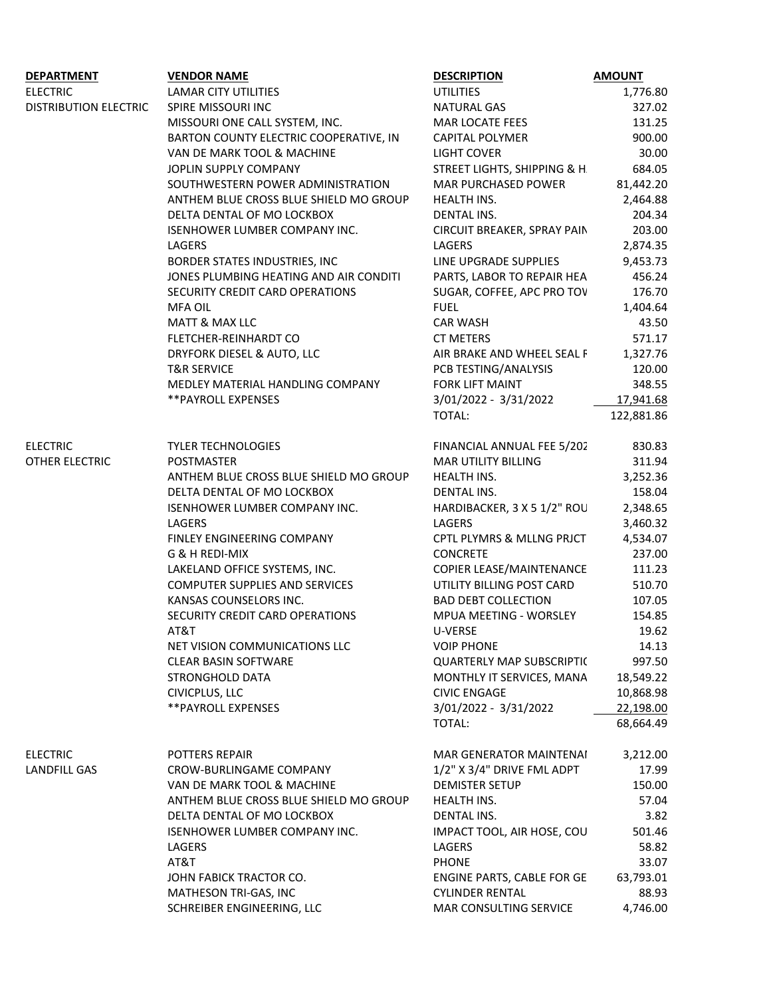| <b>DEPARTMENT</b>            | <b>VENDOR NAME</b>                     | <b>DESCRIPTION</b>               | <b>AMOUNT</b>  |
|------------------------------|----------------------------------------|----------------------------------|----------------|
| <b>ELECTRIC</b>              | LAMAR CITY UTILITIES                   | UTILITIES                        | 1,776.80       |
| <b>DISTRIBUTION ELECTRIC</b> | SPIRE MISSOURI INC                     | <b>NATURAL GAS</b>               | 327.02         |
|                              |                                        |                                  |                |
|                              | MISSOURI ONE CALL SYSTEM, INC.         | MAR LOCATE FEES                  | 131.25         |
|                              | BARTON COUNTY ELECTRIC COOPERATIVE, IN | <b>CAPITAL POLYMER</b>           | 900.00         |
|                              | VAN DE MARK TOOL & MACHINE             | <b>LIGHT COVER</b>               | 30.00          |
|                              | JOPLIN SUPPLY COMPANY                  | STREET LIGHTS, SHIPPING & H.     | 684.05         |
|                              | SOUTHWESTERN POWER ADMINISTRATION      | MAR PURCHASED POWER              | 81,442.20      |
|                              | ANTHEM BLUE CROSS BLUE SHIELD MO GROUP | HEALTH INS.                      | 2,464.88       |
|                              | DELTA DENTAL OF MO LOCKBOX             | <b>DENTAL INS.</b>               | 204.34         |
|                              |                                        |                                  |                |
|                              | ISENHOWER LUMBER COMPANY INC.          | CIRCUIT BREAKER, SPRAY PAIN      | 203.00         |
|                              | LAGERS                                 | LAGERS                           | 2,874.35       |
|                              | BORDER STATES INDUSTRIES, INC          | LINE UPGRADE SUPPLIES            | 9,453.73       |
|                              | JONES PLUMBING HEATING AND AIR CONDITI | PARTS, LABOR TO REPAIR HEA       | 456.24         |
|                              | SECURITY CREDIT CARD OPERATIONS        | SUGAR, COFFEE, APC PRO TOV       | 176.70         |
|                              | <b>MFA OIL</b>                         | <b>FUEL</b>                      | 1,404.64       |
|                              | <b>MATT &amp; MAX LLC</b>              | <b>CAR WASH</b>                  | 43.50          |
|                              |                                        |                                  |                |
|                              | FLETCHER-REINHARDT CO                  | <b>CT METERS</b>                 | 571.17         |
|                              | DRYFORK DIESEL & AUTO, LLC             | AIR BRAKE AND WHEEL SEAL F       | 1,327.76       |
|                              | <b>T&amp;R SERVICE</b>                 | PCB TESTING/ANALYSIS             | 120.00         |
|                              | MEDLEY MATERIAL HANDLING COMPANY       | <b>FORK LIFT MAINT</b>           | 348.55         |
|                              | ** PAYROLL EXPENSES                    | 3/01/2022 - 3/31/2022            | 17,941.68      |
|                              |                                        | TOTAL:                           | 122,881.86     |
|                              |                                        |                                  |                |
| <b>ELECTRIC</b>              | <b>TYLER TECHNOLOGIES</b>              | FINANCIAL ANNUAL FEE 5/202       | 830.83         |
| OTHER ELECTRIC               | POSTMASTER                             | MAR UTILITY BILLING              | 311.94         |
|                              |                                        |                                  |                |
|                              | ANTHEM BLUE CROSS BLUE SHIELD MO GROUP | HEALTH INS.                      | 3,252.36       |
|                              | DELTA DENTAL OF MO LOCKBOX             | DENTAL INS.                      | 158.04         |
|                              | ISENHOWER LUMBER COMPANY INC.          | HARDIBACKER, 3 X 5 1/2" ROU      | 2,348.65       |
|                              | LAGERS                                 | LAGERS                           | 3,460.32       |
|                              | FINLEY ENGINEERING COMPANY             | CPTL PLYMRS & MLLNG PRJCT        | 4,534.07       |
|                              | G & H REDI-MIX                         | CONCRETE                         | 237.00         |
|                              | LAKELAND OFFICE SYSTEMS, INC.          | COPIER LEASE/MAINTENANCE         | 111.23         |
|                              |                                        |                                  |                |
|                              | COMPUTER SUPPLIES AND SERVICES         | UTILITY BILLING POST CARD        | 510.70         |
|                              | KANSAS COUNSELORS INC.                 | <b>BAD DEBT COLLECTION</b>       | 107.05         |
|                              | SECURITY CREDIT CARD OPERATIONS        | MPUA MEETING - WORSLEY           | 154.85         |
|                              | AT&T                                   | <b>U-VERSE</b>                   | 19.62          |
|                              | NET VISION COMMUNICATIONS LLC          | <b>VOIP PHONE</b>                | 14.13          |
|                              | <b>CLEAR BASIN SOFTWARE</b>            | <b>QUARTERLY MAP SUBSCRIPTIC</b> | 997.50         |
|                              | STRONGHOLD DATA                        | MONTHLY IT SERVICES, MANA        | 18,549.22      |
|                              | CIVICPLUS, LLC                         | <b>CIVIC ENGAGE</b>              | 10,868.98      |
|                              |                                        |                                  |                |
|                              | **PAYROLL EXPENSES                     | 3/01/2022 - 3/31/2022            | 22,198.00      |
|                              |                                        | TOTAL:                           | 68,664.49      |
|                              |                                        |                                  |                |
| <b>ELECTRIC</b>              | POTTERS REPAIR                         | MAR GENERATOR MAINTENAI          | 3,212.00       |
| LANDFILL GAS                 | <b>CROW-BURLINGAME COMPANY</b>         | 1/2" X 3/4" DRIVE FML ADPT       | 17.99          |
|                              | VAN DE MARK TOOL & MACHINE             | <b>DEMISTER SETUP</b>            | 150.00         |
|                              | ANTHEM BLUE CROSS BLUE SHIELD MO GROUP | HEALTH INS.                      | 57.04          |
|                              | DELTA DENTAL OF MO LOCKBOX             | DENTAL INS.                      | 3.82           |
|                              |                                        |                                  |                |
|                              | ISENHOWER LUMBER COMPANY INC.          | IMPACT TOOL, AIR HOSE, COU       | 501.46         |
|                              | LAGERS                                 | LAGERS                           | 58.82<br>33.07 |
|                              | AT&T                                   | <b>PHONE</b>                     |                |
|                              | JOHN FABICK TRACTOR CO.                | ENGINE PARTS, CABLE FOR GE       | 63,793.01      |
|                              | MATHESON TRI-GAS, INC                  | CYLINDER RENTAL                  | 88.93          |
|                              | SCHREIBER ENGINEERING, LLC             | MAR CONSULTING SERVICE           | 4,746.00       |
|                              |                                        |                                  |                |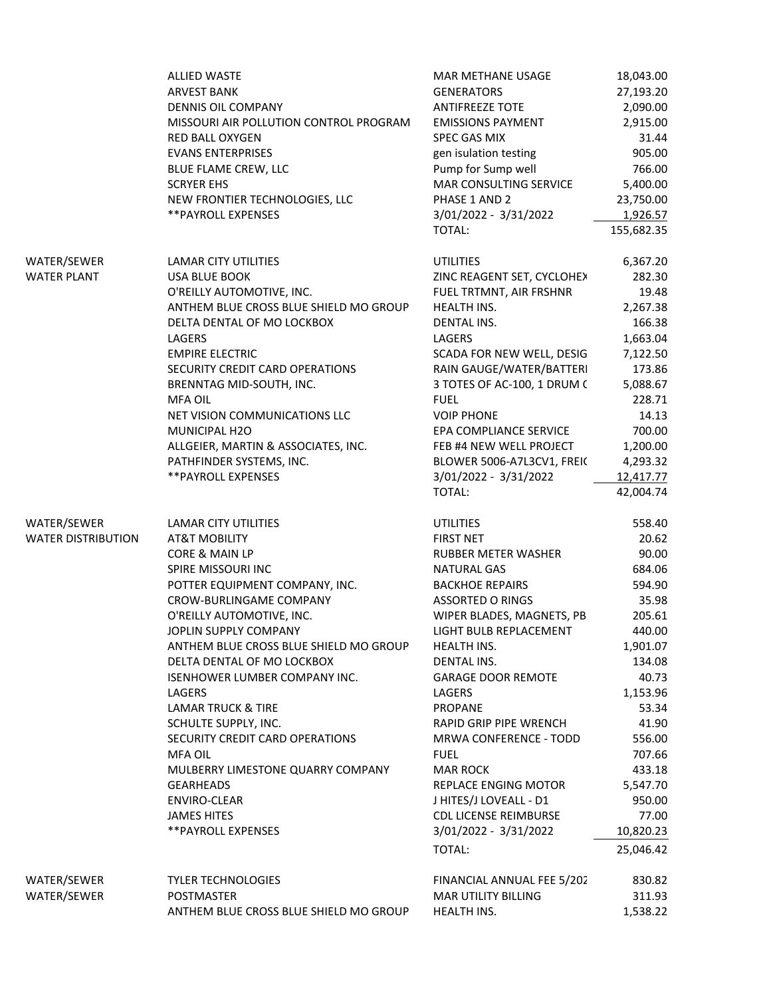|                                          | ALLIED WASTE<br><b>ARVEST BANK</b><br><b>DENNIS OIL COMPANY</b><br>MISSOURI AIR POLLUTION CONTROL PROGRAM<br><b>RED BALL OXYGEN</b><br><b>EVANS ENTERPRISES</b><br>BLUE FLAME CREW, LLC<br><b>SCRYER EHS</b><br>NEW FRONTIER TECHNOLOGIES, LLC<br>** PAYROLL EXPENSES                                                                                                                                                                                                                                                                                         | <b>MAR METHANE USAGE</b><br><b>GENERATORS</b><br><b>ANTIFREEZE TOTE</b><br><b>EMISSIONS PAYMENT</b><br>SPEC GAS MIX<br>gen isulation testing<br>Pump for Sump well<br>MAR CONSULTING SERVICE<br>PHASE 1 AND 2<br>3/01/2022 - 3/31/2022<br>TOTAL:                                                                                                                                                                                                                                                                     | 18,043.00<br>27,193.20<br>2,090.00<br>2,915.00<br>31.44<br>905.00<br>766.00<br>5,400.00<br>23,750.00<br>1,926.57<br>155,682.35                                                                                                |  |
|------------------------------------------|---------------------------------------------------------------------------------------------------------------------------------------------------------------------------------------------------------------------------------------------------------------------------------------------------------------------------------------------------------------------------------------------------------------------------------------------------------------------------------------------------------------------------------------------------------------|----------------------------------------------------------------------------------------------------------------------------------------------------------------------------------------------------------------------------------------------------------------------------------------------------------------------------------------------------------------------------------------------------------------------------------------------------------------------------------------------------------------------|-------------------------------------------------------------------------------------------------------------------------------------------------------------------------------------------------------------------------------|--|
| WATER/SEWER<br><b>WATER PLANT</b>        | <b>LAMAR CITY UTILITIES</b><br><b>USA BLUE BOOK</b><br>O'REILLY AUTOMOTIVE, INC.<br>ANTHEM BLUE CROSS BLUE SHIELD MO GROUP<br>DELTA DENTAL OF MO LOCKBOX<br>LAGERS<br><b>EMPIRE ELECTRIC</b><br>SECURITY CREDIT CARD OPERATIONS<br>BRENNTAG MID-SOUTH, INC.<br><b>MFA OIL</b><br>NET VISION COMMUNICATIONS LLC<br>MUNICIPAL H2O<br>ALLGEIER, MARTIN & ASSOCIATES, INC.<br>PATHFINDER SYSTEMS, INC.<br>** PAYROLL EXPENSES                                                                                                                                     | <b>UTILITIES</b><br>ZINC REAGENT SET, CYCLOHEX<br>FUEL TRTMNT, AIR FRSHNR<br>HEALTH INS.<br><b>DENTAL INS.</b><br>LAGERS<br>SCADA FOR NEW WELL, DESIG<br>RAIN GAUGE/WATER/BATTERI<br>3 TOTES OF AC-100, 1 DRUM (<br><b>FUEL</b><br><b>VOIP PHONE</b><br>EPA COMPLIANCE SERVICE<br>FEB #4 NEW WELL PROJECT<br>BLOWER 5006-A7L3CV1, FREIC<br>3/01/2022 - 3/31/2022<br>TOTAL:                                                                                                                                           | 6,367.20<br>282.30<br>19.48<br>2,267.38<br>166.38<br>1,663.04<br>7,122.50<br>173.86<br>5,088.67<br>228.71<br>14.13<br>700.00<br>1,200.00<br>4,293.32<br>12,417.77<br>42,004.74                                                |  |
| WATER/SEWER<br><b>WATER DISTRIBUTION</b> | LAMAR CITY UTILITIES<br>AT&T MOBILITY<br>CORE & MAIN LP<br>SPIRE MISSOURI INC<br>POTTER EQUIPMENT COMPANY, INC.<br>CROW-BURLINGAME COMPANY<br>O'REILLY AUTOMOTIVE, INC.<br>JOPLIN SUPPLY COMPANY<br>ANTHEM BLUE CROSS BLUE SHIELD MO GROUP<br>DELTA DENTAL OF MO LOCKBOX<br><b>ISENHOWER LUMBER COMPANY INC.</b><br>LAGERS<br><b>LAMAR TRUCK &amp; TIRE</b><br>SCHULTE SUPPLY, INC.<br>SECURITY CREDIT CARD OPERATIONS<br><b>MFA OIL</b><br>MULBERRY LIMESTONE QUARRY COMPANY<br><b>GEARHEADS</b><br>ENVIRO-CLEAR<br><b>JAMES HITES</b><br>**PAYROLL EXPENSES | <b>UTILITIES</b><br><b>FIRST NET</b><br><b>RUBBER METER WASHER</b><br><b>NATURAL GAS</b><br><b>BACKHOE REPAIRS</b><br><b>ASSORTED O RINGS</b><br>WIPER BLADES, MAGNETS, PB<br>LIGHT BULB REPLACEMENT<br><b>HEALTH INS.</b><br><b>DENTAL INS.</b><br><b>GARAGE DOOR REMOTE</b><br>LAGERS<br>PROPANE<br>RAPID GRIP PIPE WRENCH<br>MRWA CONFERENCE - TODD<br><b>FUEL</b><br><b>MAR ROCK</b><br><b>REPLACE ENGING MOTOR</b><br>J HITES/J LOVEALL - D1<br><b>CDL LICENSE REIMBURSE</b><br>3/01/2022 - 3/31/2022<br>TOTAL: | 558.40<br>20.62<br>90.00<br>684.06<br>594.90<br>35.98<br>205.61<br>440.00<br>1,901.07<br>134.08<br>40.73<br>1,153.96<br>53.34<br>41.90<br>556.00<br>707.66<br>433.18<br>5,547.70<br>950.00<br>77.00<br>10,820.23<br>25,046.42 |  |
| WATER/SEWER<br>WATER/SEWER               | <b>TYLER TECHNOLOGIES</b><br>POSTMASTER<br>ANTHEM BLUE CROSS BLUE SHIELD MO GROUP                                                                                                                                                                                                                                                                                                                                                                                                                                                                             | FINANCIAL ANNUAL FEE 5/202<br><b>MAR UTILITY BILLING</b><br>HEALTH INS.                                                                                                                                                                                                                                                                                                                                                                                                                                              | 830.82<br>311.93<br>1,538.22                                                                                                                                                                                                  |  |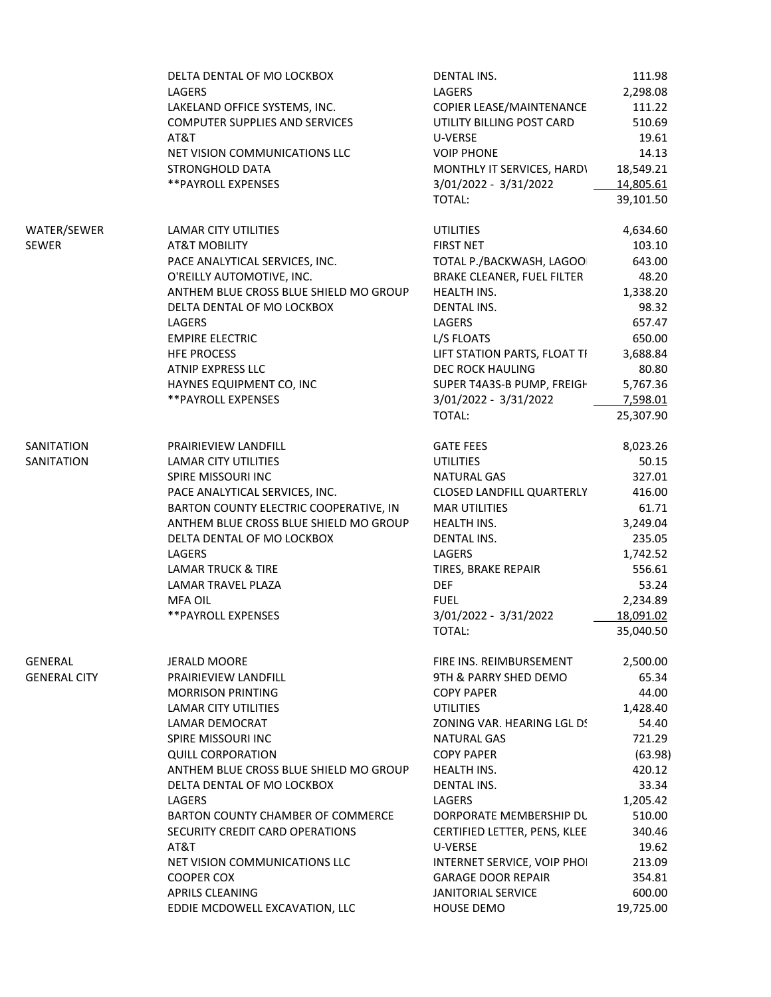|                     | DELTA DENTAL OF MO LOCKBOX             | DENTAL INS.                  | 111.98    |  |
|---------------------|----------------------------------------|------------------------------|-----------|--|
|                     | LAGERS                                 | LAGERS                       | 2,298.08  |  |
|                     | LAKELAND OFFICE SYSTEMS, INC.          | COPIER LEASE/MAINTENANCE     | 111.22    |  |
|                     | <b>COMPUTER SUPPLIES AND SERVICES</b>  | UTILITY BILLING POST CARD    | 510.69    |  |
|                     | AT&T                                   | U-VERSE                      | 19.61     |  |
|                     | NET VISION COMMUNICATIONS LLC          | <b>VOIP PHONE</b>            | 14.13     |  |
|                     | STRONGHOLD DATA                        | MONTHLY IT SERVICES, HARDY   | 18,549.21 |  |
|                     | ** PAYROLL EXPENSES                    | 3/01/2022 - 3/31/2022        | 14,805.61 |  |
|                     |                                        | TOTAL:                       | 39,101.50 |  |
|                     |                                        |                              |           |  |
| WATER/SEWER         | LAMAR CITY UTILITIES                   | <b>UTILITIES</b>             | 4,634.60  |  |
| SEWER               | <b>AT&amp;T MOBILITY</b>               | <b>FIRST NET</b>             | 103.10    |  |
|                     | PACE ANALYTICAL SERVICES, INC.         | TOTAL P./BACKWASH, LAGOO     | 643.00    |  |
|                     | O'REILLY AUTOMOTIVE, INC.              | BRAKE CLEANER, FUEL FILTER   | 48.20     |  |
|                     | ANTHEM BLUE CROSS BLUE SHIELD MO GROUP | HEALTH INS.                  | 1,338.20  |  |
|                     | DELTA DENTAL OF MO LOCKBOX             | DENTAL INS.                  | 98.32     |  |
|                     |                                        |                              |           |  |
|                     | LAGERS                                 | LAGERS                       | 657.47    |  |
|                     | <b>EMPIRE ELECTRIC</b>                 | L/S FLOATS                   | 650.00    |  |
|                     | <b>HFE PROCESS</b>                     | LIFT STATION PARTS, FLOAT TI | 3,688.84  |  |
|                     | <b>ATNIP EXPRESS LLC</b>               | DEC ROCK HAULING             | 80.80     |  |
|                     | HAYNES EQUIPMENT CO, INC               | SUPER T4A3S-B PUMP, FREIGH   | 5,767.36  |  |
|                     | ** PAYROLL EXPENSES                    | 3/01/2022 - 3/31/2022        | 7,598.01  |  |
|                     |                                        | TOTAL:                       | 25,307.90 |  |
|                     |                                        |                              |           |  |
| SANITATION          | PRAIRIEVIEW LANDFILL                   | <b>GATE FEES</b>             | 8,023.26  |  |
| SANITATION          | LAMAR CITY UTILITIES                   | <b>UTILITIES</b>             | 50.15     |  |
|                     | SPIRE MISSOURI INC                     | <b>NATURAL GAS</b>           | 327.01    |  |
|                     | PACE ANALYTICAL SERVICES, INC.         | CLOSED LANDFILL QUARTERLY    | 416.00    |  |
|                     | BARTON COUNTY ELECTRIC COOPERATIVE, IN | <b>MAR UTILITIES</b>         | 61.71     |  |
|                     | ANTHEM BLUE CROSS BLUE SHIELD MO GROUP | HEALTH INS.                  | 3,249.04  |  |
|                     | DELTA DENTAL OF MO LOCKBOX             | DENTAL INS.                  | 235.05    |  |
|                     | LAGERS                                 | LAGERS                       | 1,742.52  |  |
|                     | <b>LAMAR TRUCK &amp; TIRE</b>          | TIRES, BRAKE REPAIR          | 556.61    |  |
|                     | LAMAR TRAVEL PLAZA                     | <b>DEF</b>                   | 53.24     |  |
|                     | <b>MFA OIL</b>                         | <b>FUEL</b>                  | 2,234.89  |  |
|                     |                                        |                              |           |  |
|                     | **PAYROLL EXPENSES                     | 3/01/2022 - 3/31/2022        | 18,091.02 |  |
|                     |                                        | TOTAL:                       | 35,040.50 |  |
|                     |                                        |                              |           |  |
| GENERAL             | JERALD MOORE                           | FIRE INS. REIMBURSEMENT      | 2,500.00  |  |
| <b>GENERAL CITY</b> | PRAIRIEVIEW LANDFILL                   | 9TH & PARRY SHED DEMO        | 65.34     |  |
|                     | <b>MORRISON PRINTING</b>               | <b>COPY PAPER</b>            | 44.00     |  |
|                     | LAMAR CITY UTILITIES                   | <b>UTILITIES</b>             | 1,428.40  |  |
|                     | LAMAR DEMOCRAT                         | ZONING VAR. HEARING LGL DS   | 54.40     |  |
|                     | SPIRE MISSOURI INC                     | NATURAL GAS                  | 721.29    |  |
|                     | <b>QUILL CORPORATION</b>               | <b>COPY PAPER</b>            | (63.98)   |  |
|                     | ANTHEM BLUE CROSS BLUE SHIELD MO GROUP | HEALTH INS.                  | 420.12    |  |
|                     | DELTA DENTAL OF MO LOCKBOX             | DENTAL INS.                  | 33.34     |  |
|                     | LAGERS                                 | LAGERS                       | 1,205.42  |  |
|                     | BARTON COUNTY CHAMBER OF COMMERCE      | DORPORATE MEMBERSHIP DU      | 510.00    |  |
|                     | SECURITY CREDIT CARD OPERATIONS        | CERTIFIED LETTER, PENS, KLEE | 340.46    |  |
|                     | AT&T                                   | U-VERSE                      | 19.62     |  |
|                     | NET VISION COMMUNICATIONS LLC          | INTERNET SERVICE, VOIP PHOI  | 213.09    |  |
|                     |                                        |                              |           |  |
|                     | <b>COOPER COX</b>                      | <b>GARAGE DOOR REPAIR</b>    | 354.81    |  |
|                     | APRILS CLEANING                        | <b>JANITORIAL SERVICE</b>    | 600.00    |  |
|                     | EDDIE MCDOWELL EXCAVATION, LLC         | HOUSE DEMO                   | 19,725.00 |  |
|                     |                                        |                              |           |  |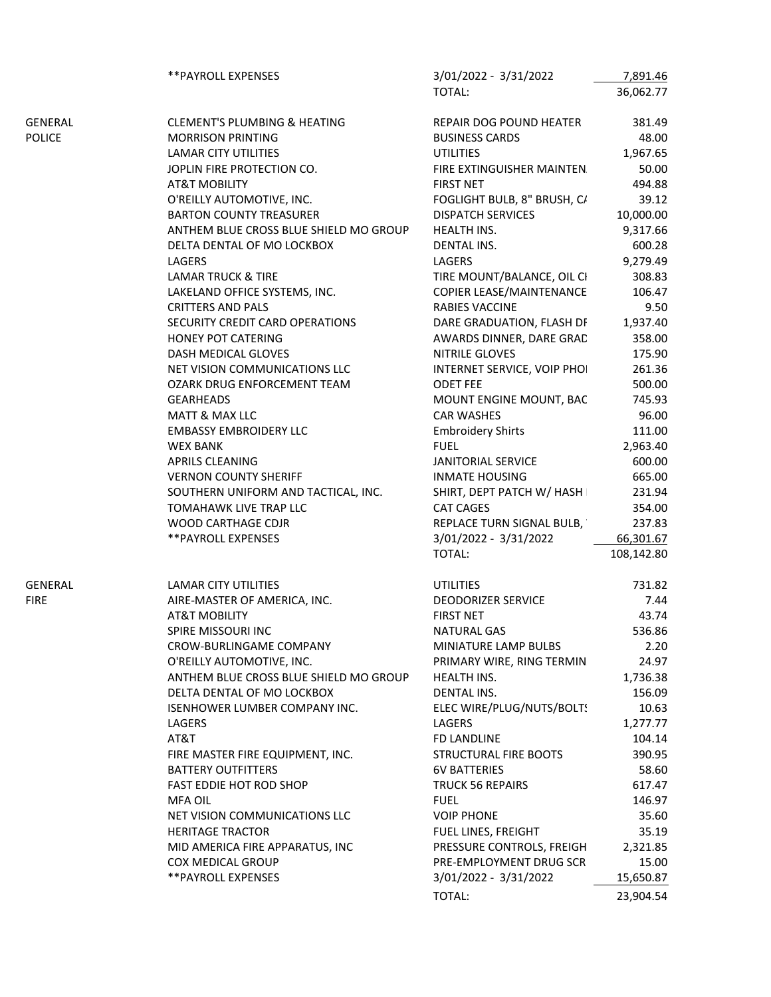|               | ** PAYROLL EXPENSES                     | 3/01/2022 - 3/31/2022       | 7,891.46   |  |
|---------------|-----------------------------------------|-----------------------------|------------|--|
|               |                                         | TOTAL:                      | 36,062.77  |  |
|               |                                         |                             |            |  |
| GENERAL       | <b>CLEMENT'S PLUMBING &amp; HEATING</b> | REPAIR DOG POUND HEATER     | 381.49     |  |
| <b>POLICE</b> | <b>MORRISON PRINTING</b>                | <b>BUSINESS CARDS</b>       | 48.00      |  |
|               | <b>LAMAR CITY UTILITIES</b>             | <b>UTILITIES</b>            | 1,967.65   |  |
|               | JOPLIN FIRE PROTECTION CO.              | FIRE EXTINGUISHER MAINTEN.  | 50.00      |  |
|               | <b>AT&amp;T MOBILITY</b>                | <b>FIRST NET</b>            | 494.88     |  |
|               | O'REILLY AUTOMOTIVE, INC.               | FOGLIGHT BULB, 8" BRUSH, C/ | 39.12      |  |
|               | <b>BARTON COUNTY TREASURER</b>          | <b>DISPATCH SERVICES</b>    | 10,000.00  |  |
|               | ANTHEM BLUE CROSS BLUE SHIELD MO GROUP  | HEALTH INS.                 | 9,317.66   |  |
|               | DELTA DENTAL OF MO LOCKBOX              | DENTAL INS.                 | 600.28     |  |
|               | LAGERS                                  | LAGERS                      | 9,279.49   |  |
|               | <b>LAMAR TRUCK &amp; TIRE</b>           | TIRE MOUNT/BALANCE, OIL CI  | 308.83     |  |
|               | LAKELAND OFFICE SYSTEMS, INC.           | COPIER LEASE/MAINTENANCE    | 106.47     |  |
|               |                                         |                             |            |  |
|               | <b>CRITTERS AND PALS</b>                | RABIES VACCINE              | 9.50       |  |
|               | SECURITY CREDIT CARD OPERATIONS         | DARE GRADUATION, FLASH DF   | 1,937.40   |  |
|               | HONEY POT CATERING                      | AWARDS DINNER, DARE GRAD    | 358.00     |  |
|               | DASH MEDICAL GLOVES                     | NITRILE GLOVES              | 175.90     |  |
|               | NET VISION COMMUNICATIONS LLC           | INTERNET SERVICE, VOIP PHOI | 261.36     |  |
|               | OZARK DRUG ENFORCEMENT TEAM             | ODET FEE                    | 500.00     |  |
|               | GEARHEADS                               | MOUNT ENGINE MOUNT, BAC     | 745.93     |  |
|               | MATT & MAX LLC                          | <b>CAR WASHES</b>           | 96.00      |  |
|               | <b>EMBASSY EMBROIDERY LLC</b>           | <b>Embroidery Shirts</b>    | 111.00     |  |
|               | WEX BANK                                | <b>FUEL</b>                 | 2,963.40   |  |
|               | <b>APRILS CLEANING</b>                  | JANITORIAL SERVICE          | 600.00     |  |
|               | <b>VERNON COUNTY SHERIFF</b>            | <b>INMATE HOUSING</b>       | 665.00     |  |
|               | SOUTHERN UNIFORM AND TACTICAL, INC.     | SHIRT, DEPT PATCH W/ HASH   | 231.94     |  |
|               | TOMAHAWK LIVE TRAP LLC                  | CAT CAGES                   | 354.00     |  |
|               | WOOD CARTHAGE CDJR                      | REPLACE TURN SIGNAL BULB,   | 237.83     |  |
|               | ** PAYROLL EXPENSES                     | 3/01/2022 - 3/31/2022       | 66,301.67  |  |
|               |                                         | TOTAL:                      | 108,142.80 |  |
|               |                                         |                             |            |  |
| GENERAL       | LAMAR CITY UTILITIES                    | <b>UTILITIES</b>            | 731.82     |  |
| <b>FIRE</b>   | AIRE-MASTER OF AMERICA, INC.            | <b>DEODORIZER SERVICE</b>   | 7.44       |  |
|               | <b>AT&amp;T MOBILITY</b>                | <b>FIRST NET</b>            | 43.74      |  |
|               | SPIRE MISSOURI INC                      | NATURAL GAS                 | 536.86     |  |
|               | CROW-BURLINGAME COMPANY                 | MINIATURE LAMP BULBS        | 2.20       |  |
|               |                                         |                             |            |  |
|               | O'REILLY AUTOMOTIVE, INC.               | PRIMARY WIRE, RING TERMIN   | 24.97      |  |
|               | ANTHEM BLUE CROSS BLUE SHIELD MO GROUP  | HEALTH INS.                 | 1,736.38   |  |
|               | DELTA DENTAL OF MO LOCKBOX              | DENTAL INS.                 | 156.09     |  |
|               | ISENHOWER LUMBER COMPANY INC.           | ELEC WIRE/PLUG/NUTS/BOLT!   | 10.63      |  |
|               | LAGERS                                  | LAGERS                      | 1,277.77   |  |
|               | AT&T                                    | FD LANDLINE                 | 104.14     |  |
|               | FIRE MASTER FIRE EQUIPMENT, INC.        | STRUCTURAL FIRE BOOTS       | 390.95     |  |
|               | <b>BATTERY OUTFITTERS</b>               | <b>6V BATTERIES</b>         | 58.60      |  |
|               | FAST EDDIE HOT ROD SHOP                 | <b>TRUCK 56 REPAIRS</b>     | 617.47     |  |
|               | MFA OIL                                 | <b>FUEL</b>                 | 146.97     |  |
|               | NET VISION COMMUNICATIONS LLC           | <b>VOIP PHONE</b>           | 35.60      |  |
|               | <b>HERITAGE TRACTOR</b>                 | FUEL LINES, FREIGHT         | 35.19      |  |
|               | MID AMERICA FIRE APPARATUS, INC         | PRESSURE CONTROLS, FREIGH   | 2,321.85   |  |
|               | COX MEDICAL GROUP                       | PRE-EMPLOYMENT DRUG SCR     | 15.00      |  |
|               | ** PAYROLL EXPENSES                     | 3/01/2022 - 3/31/2022       | 15,650.87  |  |
|               |                                         | TOTAL:                      | 23,904.54  |  |
|               |                                         |                             |            |  |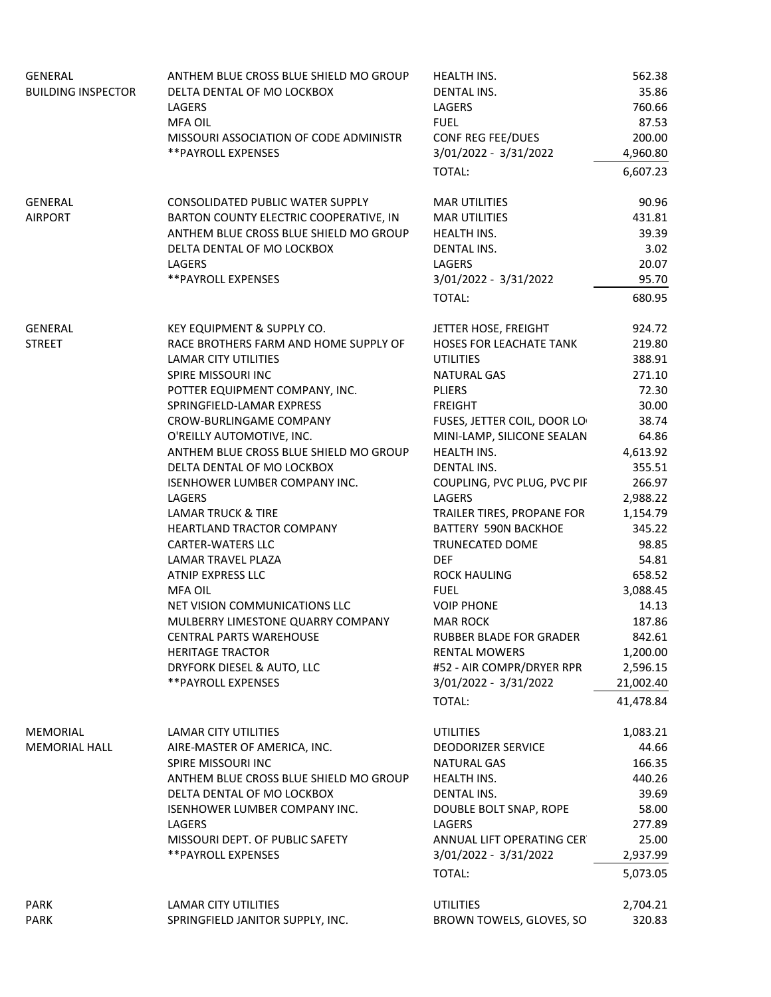| GENERAL                   | ANTHEM BLUE CROSS BLUE SHIELD MO GROUP | HEALTH INS.                    | 562.38    |  |
|---------------------------|----------------------------------------|--------------------------------|-----------|--|
| <b>BUILDING INSPECTOR</b> | DELTA DENTAL OF MO LOCKBOX             | DENTAL INS.                    | 35.86     |  |
|                           | LAGERS                                 | LAGERS                         | 760.66    |  |
|                           | <b>MFA OIL</b>                         | <b>FUEL</b>                    | 87.53     |  |
|                           | MISSOURI ASSOCIATION OF CODE ADMINISTR | CONF REG FEE/DUES              | 200.00    |  |
|                           | ** PAYROLL EXPENSES                    | 3/01/2022 - 3/31/2022          | 4,960.80  |  |
|                           |                                        | TOTAL:                         | 6,607.23  |  |
| GENERAL                   | CONSOLIDATED PUBLIC WATER SUPPLY       | <b>MAR UTILITIES</b>           | 90.96     |  |
| <b>AIRPORT</b>            | BARTON COUNTY ELECTRIC COOPERATIVE, IN | <b>MAR UTILITIES</b>           | 431.81    |  |
|                           | ANTHEM BLUE CROSS BLUE SHIELD MO GROUP | <b>HEALTH INS.</b>             | 39.39     |  |
|                           | DELTA DENTAL OF MO LOCKBOX             | <b>DENTAL INS.</b>             | 3.02      |  |
|                           | LAGERS                                 | LAGERS                         | 20.07     |  |
|                           | **PAYROLL EXPENSES                     | 3/01/2022 - 3/31/2022          | 95.70     |  |
|                           |                                        | TOTAL:                         | 680.95    |  |
| GENERAL                   | KEY EQUIPMENT & SUPPLY CO.             | JETTER HOSE, FREIGHT           | 924.72    |  |
| <b>STREET</b>             | RACE BROTHERS FARM AND HOME SUPPLY OF  | <b>HOSES FOR LEACHATE TANK</b> | 219.80    |  |
|                           | <b>LAMAR CITY UTILITIES</b>            | <b>UTILITIES</b>               | 388.91    |  |
|                           | SPIRE MISSOURI INC                     | <b>NATURAL GAS</b>             | 271.10    |  |
|                           | POTTER EQUIPMENT COMPANY, INC.         | <b>PLIERS</b>                  | 72.30     |  |
|                           | SPRINGFIELD-LAMAR EXPRESS              | <b>FREIGHT</b>                 | 30.00     |  |
|                           | CROW-BURLINGAME COMPANY                | FUSES, JETTER COIL, DOOR LO    | 38.74     |  |
|                           | O'REILLY AUTOMOTIVE, INC.              | MINI-LAMP, SILICONE SEALAN     | 64.86     |  |
|                           | ANTHEM BLUE CROSS BLUE SHIELD MO GROUP | HEALTH INS.                    | 4,613.92  |  |
|                           | DELTA DENTAL OF MO LOCKBOX             | DENTAL INS.                    | 355.51    |  |
|                           | ISENHOWER LUMBER COMPANY INC.          | COUPLING, PVC PLUG, PVC PIF    | 266.97    |  |
|                           | LAGERS                                 | LAGERS                         | 2,988.22  |  |
|                           | LAMAR TRUCK & TIRE                     | TRAILER TIRES, PROPANE FOR     | 1,154.79  |  |
|                           | HEARTLAND TRACTOR COMPANY              | BATTERY 590N BACKHOE           | 345.22    |  |
|                           | <b>CARTER-WATERS LLC</b>               | TRUNECATED DOME                | 98.85     |  |
|                           | LAMAR TRAVEL PLAZA                     | <b>DEF</b>                     | 54.81     |  |
|                           | ATNIP EXPRESS LLC                      | <b>ROCK HAULING</b>            | 658.52    |  |
|                           | MFA OIL                                | <b>FUEL</b>                    | 3,088.45  |  |
|                           | NET VISION COMMUNICATIONS LLC          | <b>VOIP PHONE</b>              | 14.13     |  |
|                           | MULBERRY LIMESTONE QUARRY COMPANY      | <b>MAR ROCK</b>                | 187.86    |  |
|                           | CENTRAL PARTS WAREHOUSE                | RUBBER BLADE FOR GRADER        | 842.61    |  |
|                           | <b>HERITAGE TRACTOR</b>                | <b>RENTAL MOWERS</b>           | 1,200.00  |  |
|                           | DRYFORK DIESEL & AUTO, LLC             | #52 - AIR COMPR/DRYER RPR      | 2,596.15  |  |
|                           | **PAYROLL EXPENSES                     | 3/01/2022 - 3/31/2022          | 21,002.40 |  |
|                           |                                        | TOTAL:                         | 41,478.84 |  |
| MEMORIAL                  | <b>LAMAR CITY UTILITIES</b>            | <b>UTILITIES</b>               | 1,083.21  |  |
| <b>MEMORIAL HALL</b>      | AIRE-MASTER OF AMERICA, INC.           | <b>DEODORIZER SERVICE</b>      | 44.66     |  |
|                           | SPIRE MISSOURI INC                     | NATURAL GAS                    | 166.35    |  |
|                           | ANTHEM BLUE CROSS BLUE SHIELD MO GROUP | <b>HEALTH INS.</b>             | 440.26    |  |
|                           | DELTA DENTAL OF MO LOCKBOX             | DENTAL INS.                    | 39.69     |  |
|                           | <b>ISENHOWER LUMBER COMPANY INC.</b>   | DOUBLE BOLT SNAP, ROPE         | 58.00     |  |
|                           | <b>LAGERS</b>                          | LAGERS                         | 277.89    |  |
|                           | MISSOURI DEPT. OF PUBLIC SAFETY        | ANNUAL LIFT OPERATING CER      | 25.00     |  |
|                           | **PAYROLL EXPENSES                     | 3/01/2022 - 3/31/2022          | 2,937.99  |  |
|                           |                                        | TOTAL:                         | 5,073.05  |  |
| PARK                      | LAMAR CITY UTILITIES                   | <b>UTILITIES</b>               | 2,704.21  |  |
| PARK                      | SPRINGFIELD JANITOR SUPPLY, INC.       | BROWN TOWELS, GLOVES, SO       | 320.83    |  |
|                           |                                        |                                |           |  |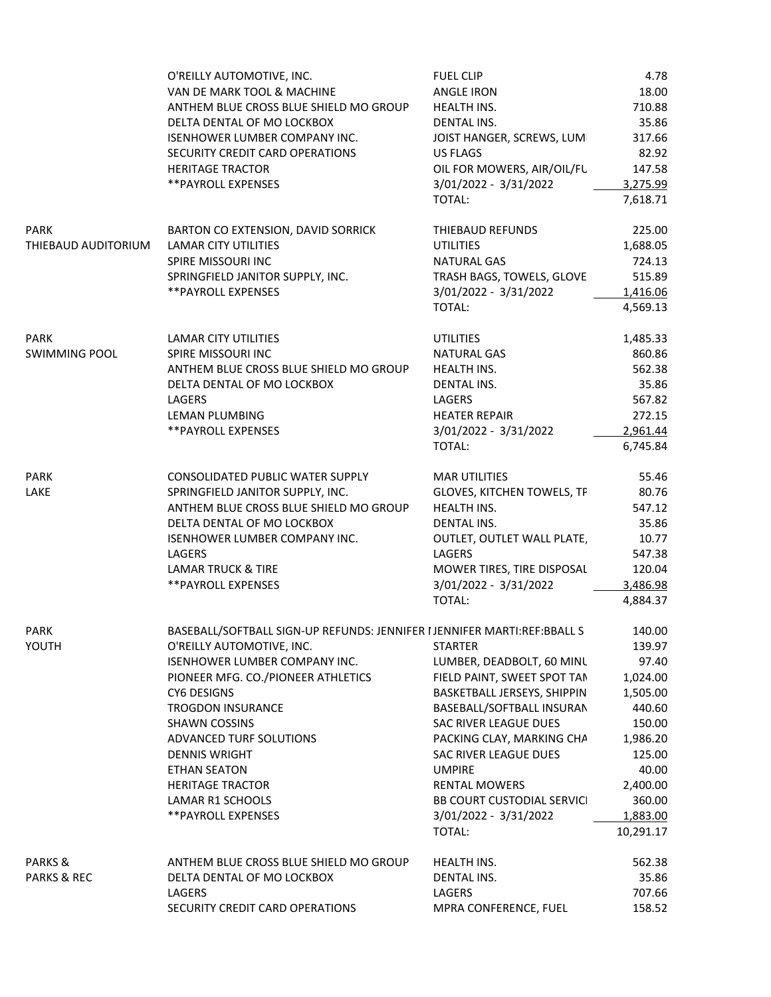|                        | O'REILLY AUTOMOTIVE, INC.                                                | <b>FUEL CLIP</b>                  | 4.78      |  |
|------------------------|--------------------------------------------------------------------------|-----------------------------------|-----------|--|
|                        | VAN DE MARK TOOL & MACHINE                                               | <b>ANGLE IRON</b>                 | 18.00     |  |
|                        | ANTHEM BLUE CROSS BLUE SHIELD MO GROUP                                   | HEALTH INS.                       | 710.88    |  |
|                        | DELTA DENTAL OF MO LOCKBOX                                               | DENTAL INS.                       | 35.86     |  |
|                        | <b>ISENHOWER LUMBER COMPANY INC.</b>                                     | JOIST HANGER, SCREWS, LUMI        | 317.66    |  |
|                        | SECURITY CREDIT CARD OPERATIONS                                          | US FLAGS                          | 82.92     |  |
|                        |                                                                          |                                   |           |  |
|                        | <b>HERITAGE TRACTOR</b>                                                  | OIL FOR MOWERS, AIR/OIL/FU        | 147.58    |  |
|                        | ** PAYROLL EXPENSES                                                      | 3/01/2022 - 3/31/2022             | 3,275.99  |  |
|                        |                                                                          | TOTAL:                            | 7,618.71  |  |
| PARK                   | BARTON CO EXTENSION, DAVID SORRICK                                       | THIEBAUD REFUNDS                  | 225.00    |  |
| THIEBAUD AUDITORIUM    | <b>LAMAR CITY UTILITIES</b>                                              | <b>UTILITIES</b>                  | 1,688.05  |  |
|                        | SPIRE MISSOURI INC                                                       | NATURAL GAS                       | 724.13    |  |
|                        | SPRINGFIELD JANITOR SUPPLY, INC.                                         | TRASH BAGS, TOWELS, GLOVE         | 515.89    |  |
|                        | ** PAYROLL EXPENSES                                                      | 3/01/2022 - 3/31/2022             | 1,416.06  |  |
|                        |                                                                          |                                   |           |  |
|                        |                                                                          | TOTAL:                            | 4,569.13  |  |
| <b>PARK</b>            | LAMAR CITY UTILITIES                                                     | <b>UTILITIES</b>                  | 1,485.33  |  |
| <b>SWIMMING POOL</b>   | SPIRE MISSOURI INC                                                       | <b>NATURAL GAS</b>                | 860.86    |  |
|                        | ANTHEM BLUE CROSS BLUE SHIELD MO GROUP                                   | HEALTH INS.                       | 562.38    |  |
|                        | DELTA DENTAL OF MO LOCKBOX                                               | DENTAL INS.                       | 35.86     |  |
|                        | LAGERS                                                                   | LAGERS                            | 567.82    |  |
|                        | LEMAN PLUMBING                                                           | <b>HEATER REPAIR</b>              | 272.15    |  |
|                        |                                                                          |                                   |           |  |
|                        | **PAYROLL EXPENSES                                                       | 3/01/2022 - 3/31/2022             | 2,961.44  |  |
|                        |                                                                          | TOTAL:                            | 6,745.84  |  |
| <b>PARK</b>            | CONSOLIDATED PUBLIC WATER SUPPLY                                         | <b>MAR UTILITIES</b>              | 55.46     |  |
| LAKE                   | SPRINGFIELD JANITOR SUPPLY, INC.                                         | GLOVES, KITCHEN TOWELS, TP        | 80.76     |  |
|                        | ANTHEM BLUE CROSS BLUE SHIELD MO GROUP                                   | HEALTH INS.                       | 547.12    |  |
|                        | DELTA DENTAL OF MO LOCKBOX                                               | DENTAL INS.                       | 35.86     |  |
|                        | ISENHOWER LUMBER COMPANY INC.                                            | OUTLET, OUTLET WALL PLATE,        | 10.77     |  |
|                        | LAGERS                                                                   |                                   |           |  |
|                        |                                                                          | LAGERS                            | 547.38    |  |
|                        | <b>LAMAR TRUCK &amp; TIRE</b>                                            | MOWER TIRES, TIRE DISPOSAL        | 120.04    |  |
|                        | ** PAYROLL EXPENSES                                                      | 3/01/2022 - 3/31/2022             | 3,486.98  |  |
|                        |                                                                          | TOTAL:                            | 4,884.37  |  |
| PARK                   | BASEBALL/SOFTBALL SIGN-UP REFUNDS: JENNIFER I JENNIFER MARTI:REF:BBALL S |                                   | 140.00    |  |
| YOUTH                  | O'REILLY AUTOMOTIVE, INC.                                                | <b>STARTER</b>                    | 139.97    |  |
|                        | <b>ISENHOWER LUMBER COMPANY INC.</b>                                     | LUMBER, DEADBOLT, 60 MINU         | 97.40     |  |
|                        | PIONEER MFG. CO./PIONEER ATHLETICS                                       |                                   | 1,024.00  |  |
|                        |                                                                          | FIELD PAINT, SWEET SPOT TAN       |           |  |
|                        | CY6 DESIGNS                                                              | BASKETBALL JERSEYS, SHIPPIN       | 1,505.00  |  |
|                        | <b>TROGDON INSURANCE</b>                                                 | BASEBALL/SOFTBALL INSURAN         | 440.60    |  |
|                        | SHAWN COSSINS                                                            | SAC RIVER LEAGUE DUES             | 150.00    |  |
|                        | ADVANCED TURF SOLUTIONS                                                  | PACKING CLAY, MARKING CHA         | 1,986.20  |  |
|                        | <b>DENNIS WRIGHT</b>                                                     | SAC RIVER LEAGUE DUES             | 125.00    |  |
|                        | <b>ETHAN SEATON</b>                                                      | <b>UMPIRE</b>                     | 40.00     |  |
|                        | <b>HERITAGE TRACTOR</b>                                                  | <b>RENTAL MOWERS</b>              | 2,400.00  |  |
|                        | LAMAR R1 SCHOOLS                                                         | <b>BB COURT CUSTODIAL SERVICI</b> | 360.00    |  |
|                        | **PAYROLL EXPENSES                                                       | 3/01/2022 - 3/31/2022             | 1,883.00  |  |
|                        |                                                                          | TOTAL:                            | 10,291.17 |  |
|                        |                                                                          |                                   |           |  |
| PARKS &                | ANTHEM BLUE CROSS BLUE SHIELD MO GROUP                                   | HEALTH INS.                       | 562.38    |  |
| <b>PARKS &amp; REC</b> | DELTA DENTAL OF MO LOCKBOX                                               | DENTAL INS.                       | 35.86     |  |
|                        | LAGERS                                                                   | LAGERS                            | 707.66    |  |
|                        | SECURITY CREDIT CARD OPERATIONS                                          | MPRA CONFERENCE, FUEL             | 158.52    |  |
|                        |                                                                          |                                   |           |  |